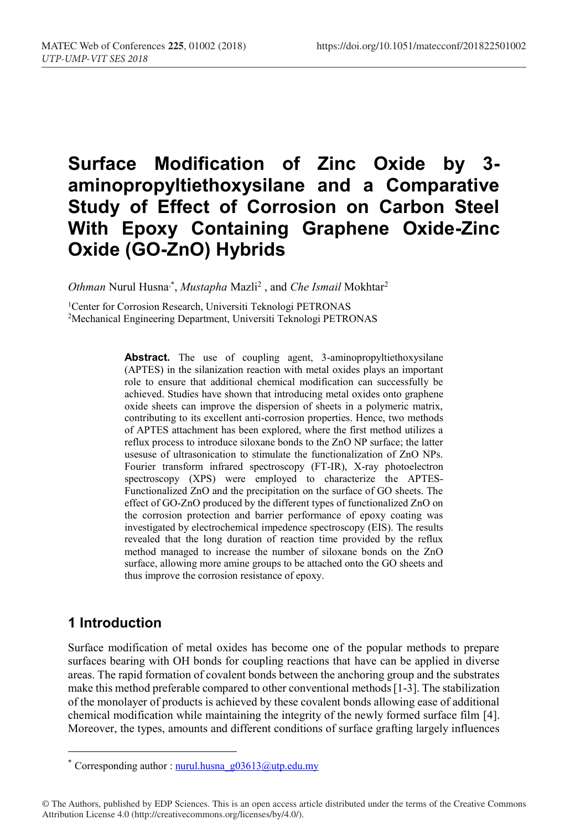# **Surface Modification of Zinc Oxide by 3 aminopropyltiethoxysilane and a Comparative Study of Effect of Corrosion on Carbon Steel With Epoxy Containing Graphene Oxide-Zinc Oxide (GO-ZnO) Hybrids**

Othman Nurul Husna<sup>,\*</sup>, *Mustapha Mazli<sup>2</sup>*, and *Che Ismail Mokhtar<sup>2</sup>* 

1Center for Corrosion Research, Universiti Teknologi PETRONAS 2Mechanical Engineering Department, Universiti Teknologi PETRONAS

> Abstract. The use of coupling agent, 3-aminopropyltiethoxysilane (APTES) in the silanization reaction with metal oxides plays an important role to ensure that additional chemical modification can successfully be achieved. Studies have shown that introducing metal oxides onto graphene oxide sheets can improve the dispersion of sheets in a polymeric matrix, contributing to its excellent anti-corrosion properties. Hence, two methods of APTES attachment has been explored, where the first method utilizes a reflux process to introduce siloxane bonds to the ZnO NP surface; the latter usesuse of ultrasonication to stimulate the functionalization of ZnO NPs. Fourier transform infrared spectroscopy (FT-IR), X-ray photoelectron spectroscopy (XPS) were employed to characterize the APTES-Functionalized ZnO and the precipitation on the surface of GO sheets. The effect of GO-ZnO produced by the different types of functionalized ZnO on the corrosion protection and barrier performance of epoxy coating was investigated by electrochemical impedence spectroscopy (EIS). The results revealed that the long duration of reaction time provided by the reflux method managed to increase the number of siloxane bonds on the ZnO surface, allowing more amine groups to be attached onto the GO sheets and thus improve the corrosion resistance of epoxy.

### **1 Introduction**

Surface modification of metal oxides has become one of the popular methods to prepare surfaces bearing with OH bonds for coupling reactions that have can be applied in diverse areas. The rapid formation of covalent bonds between the anchoring group and the substrates make this method preferable compared to other conventional methods[1-3]. The stabilization of the monolayer of products is achieved by these covalent bonds allowing ease of additional chemical modification while maintaining the integrity of the newly formed surface film [4]. Moreover, the types, amounts and different conditions of surface grafting largely influences

<sup>\*</sup> Corresponding author : nurul.husna\_g03613@utp.edu.my

<sup>©</sup> The Authors, published by EDP Sciences. This is an open access article distributed under the terms of the Creative Commons Attribution License 4.0 (http://creativecommons.org/licenses/by/4.0/).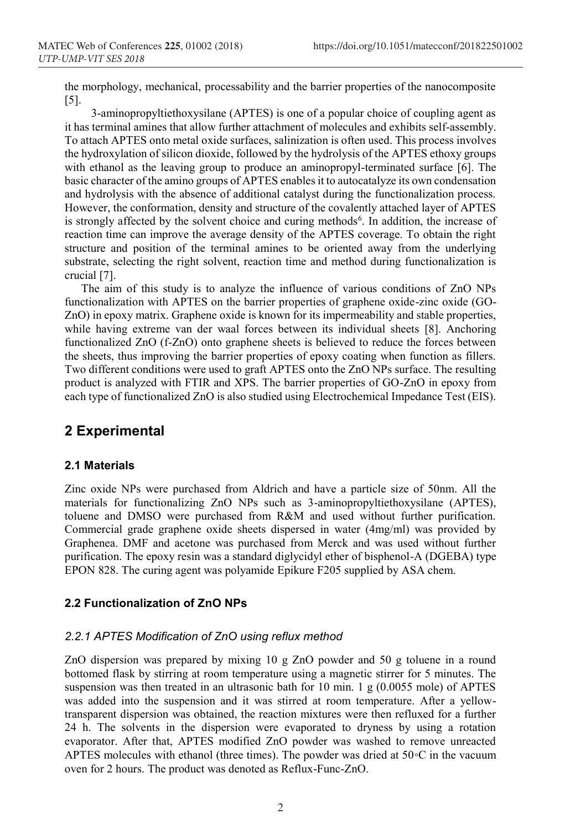the morphology, mechanical, processability and the barrier properties of the nanocomposite [5].

3-aminopropyltiethoxysilane (APTES) is one of a popular choice of coupling agent as it has terminal amines that allow further attachment of molecules and exhibits self-assembly. To attach APTES onto metal oxide surfaces, salinization is often used. This process involves the hydroxylation of silicon dioxide, followed by the hydrolysis of the APTES ethoxy groups with ethanol as the leaving group to produce an aminopropyl-terminated surface [6]. The basic character of the amino groups of APTES enables it to autocatalyze its own condensation and hydrolysis with the absence of additional catalyst during the functionalization process. However, the conformation, density and structure of the covalently attached layer of APTES is strongly affected by the solvent choice and curing methods<sup>6</sup>. In addition, the increase of reaction time can improve the average density of the APTES coverage. To obtain the right structure and position of the terminal amines to be oriented away from the underlying substrate, selecting the right solvent, reaction time and method during functionalization is crucial [7].

The aim of this study is to analyze the influence of various conditions of ZnO NPs functionalization with APTES on the barrier properties of graphene oxide-zinc oxide (GO-ZnO) in epoxy matrix. Graphene oxide is known for its impermeability and stable properties, while having extreme van der waal forces between its individual sheets [8]. Anchoring functionalized ZnO (f-ZnO) onto graphene sheets is believed to reduce the forces between the sheets, thus improving the barrier properties of epoxy coating when function as fillers. Two different conditions were used to graft APTES onto the ZnO NPs surface. The resulting product is analyzed with FTIR and XPS. The barrier properties of GO-ZnO in epoxy from each type of functionalized ZnO is also studied using Electrochemical Impedance Test (EIS).

### **2 Experimental**

### **2.1 Materials**

Zinc oxide NPs were purchased from Aldrich and have a particle size of 50nm. All the materials for functionalizing ZnO NPs such as 3-aminopropyltiethoxysilane (APTES), toluene and DMSO were purchased from R&M and used without further purification. Commercial grade graphene oxide sheets dispersed in water (4mg/ml) was provided by Graphenea. DMF and acetone was purchased from Merck and was used without further purification. The epoxy resin was a standard diglycidyl ether of bisphenol-A (DGEBA) type EPON 828. The curing agent was polyamide Epikure F205 supplied by ASA chem.

### **2.2 Functionalization of ZnO NPs**

### *2.2.1 APTES Modification of ZnO using reflux method*

ZnO dispersion was prepared by mixing 10 g ZnO powder and 50 g toluene in a round bottomed flask by stirring at room temperature using a magnetic stirrer for 5 minutes. The suspension was then treated in an ultrasonic bath for 10 min. 1 g (0.0055 mole) of APTES was added into the suspension and it was stirred at room temperature. After a yellowtransparent dispersion was obtained, the reaction mixtures were then refluxed for a further 24 h. The solvents in the dispersion were evaporated to dryness by using a rotation evaporator. After that, APTES modified ZnO powder was washed to remove unreacted APTES molecules with ethanol (three times). The powder was dried at 50◦C in the vacuum oven for 2 hours. The product was denoted as Reflux-Func-ZnO.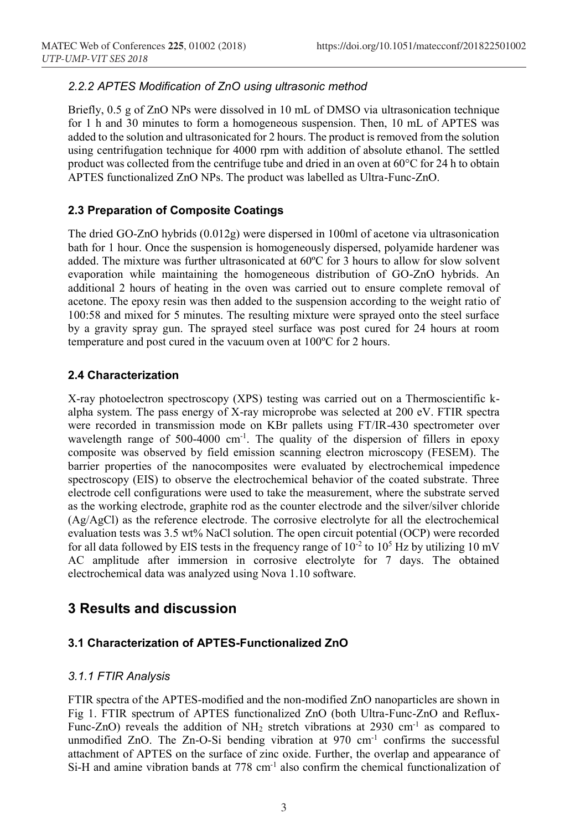### *2.2.2 APTES Modification of ZnO using ultrasonic method*

Briefly, 0.5 g of ZnO NPs were dissolved in 10 mL of DMSO via ultrasonication technique for 1 h and 30 minutes to form a homogeneous suspension. Then, 10 mL of APTES was added to the solution and ultrasonicated for 2 hours. The product is removed from the solution using centrifugation technique for 4000 rpm with addition of absolute ethanol. The settled product was collected from the centrifuge tube and dried in an oven at  $60^{\circ}$ C for 24 h to obtain APTES functionalized ZnO NPs. The product was labelled as Ultra-Func-ZnO.

### **2.3 Preparation of Composite Coatings**

The dried GO-ZnO hybrids (0.012g) were dispersed in 100ml of acetone via ultrasonication bath for 1 hour. Once the suspension is homogeneously dispersed, polyamide hardener was added. The mixture was further ultrasonicated at 60ºC for 3 hours to allow for slow solvent evaporation while maintaining the homogeneous distribution of GO-ZnO hybrids. An additional 2 hours of heating in the oven was carried out to ensure complete removal of acetone. The epoxy resin was then added to the suspension according to the weight ratio of 100:58 and mixed for 5 minutes. The resulting mixture were sprayed onto the steel surface by a gravity spray gun. The sprayed steel surface was post cured for 24 hours at room temperature and post cured in the vacuum oven at 100ºC for 2 hours.

### **2.4 Characterization**

X-ray photoelectron spectroscopy (XPS) testing was carried out on a Thermoscientific kalpha system. The pass energy of X-ray microprobe was selected at 200 eV. FTIR spectra were recorded in transmission mode on KBr pallets using FT/IR-430 spectrometer over wavelength range of 500-4000 cm<sup>-1</sup>. The quality of the dispersion of fillers in epoxy composite was observed by field emission scanning electron microscopy (FESEM). The barrier properties of the nanocomposites were evaluated by electrochemical impedence spectroscopy (EIS) to observe the electrochemical behavior of the coated substrate. Three electrode cell configurations were used to take the measurement, where the substrate served as the working electrode, graphite rod as the counter electrode and the silver/silver chloride (Ag/AgCl) as the reference electrode. The corrosive electrolyte for all the electrochemical evaluation tests was 3.5 wt% NaCl solution. The open circuit potential (OCP) were recorded for all data followed by EIS tests in the frequency range of  $10^{-2}$  to  $10^{5}$  Hz by utilizing 10 mV AC amplitude after immersion in corrosive electrolyte for 7 days. The obtained electrochemical data was analyzed using Nova 1.10 software.

### **3 Results and discussion**

### **3.1 Characterization of APTES-Functionalized ZnO**

### *3.1.1 FTIR Analysis*

FTIR spectra of the APTES-modified and the non-modified ZnO nanoparticles are shown in Fig 1. FTIR spectrum of APTES functionalized ZnO (both Ultra-Func-ZnO and Reflux-Func-ZnO) reveals the addition of  $NH_2$  stretch vibrations at 2930 cm<sup>-1</sup> as compared to unmodified ZnO. The Zn-O-Si bending vibration at  $970 \text{ cm}^{-1}$  confirms the successful attachment of APTES on the surface of zinc oxide. Further, the overlap and appearance of  $Si-H$  and amine vibration bands at 778 cm<sup>-1</sup> also confirm the chemical functionalization of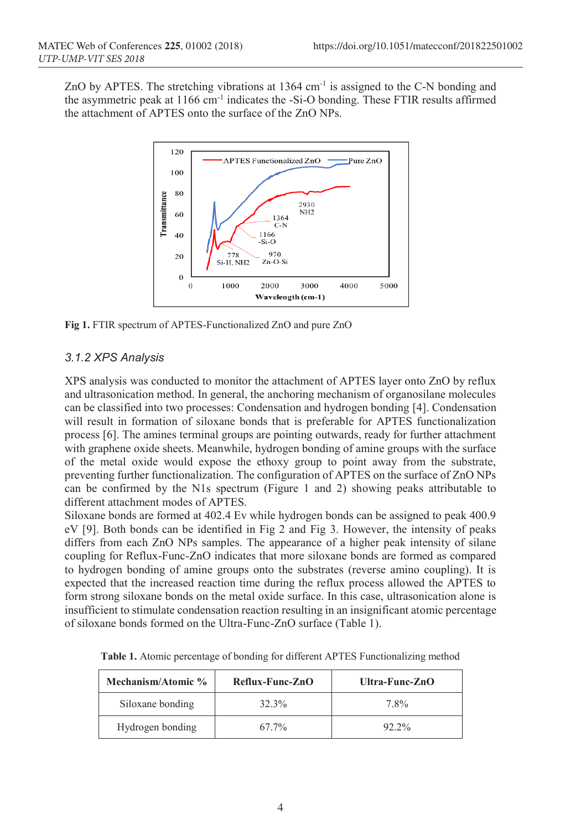ZnO by APTES. The stretching vibrations at 1364 cm-1 is assigned to the C-N bonding and the asymmetric peak at 1166 cm-1 indicates the -Si-O bonding. These FTIR results affirmed the attachment of APTES onto the surface of the ZnO NPs.



**Fig 1.** FTIR spectrum of APTES-Functionalized ZnO and pure ZnO

### *3.1.2 XPS Analysis*

XPS analysis was conducted to monitor the attachment of APTES layer onto ZnO by reflux and ultrasonication method. In general, the anchoring mechanism of organosilane molecules can be classified into two processes: Condensation and hydrogen bonding [4]. Condensation will result in formation of siloxane bonds that is preferable for APTES functionalization process [6]. The amines terminal groups are pointing outwards, ready for further attachment with graphene oxide sheets. Meanwhile, hydrogen bonding of amine groups with the surface of the metal oxide would expose the ethoxy group to point away from the substrate, preventing further functionalization. The configuration of APTES on the surface of ZnO NPs can be confirmed by the N1s spectrum (Figure 1 and 2) showing peaks attributable to different attachment modes of APTES.

Siloxane bonds are formed at 402.4 Ev while hydrogen bonds can be assigned to peak 400.9 eV [9]. Both bonds can be identified in Fig 2 and Fig 3. However, the intensity of peaks differs from each ZnO NPs samples. The appearance of a higher peak intensity of silane coupling for Reflux-Func-ZnO indicates that more siloxane bonds are formed as compared to hydrogen bonding of amine groups onto the substrates (reverse amino coupling). It is expected that the increased reaction time during the reflux process allowed the APTES to form strong siloxane bonds on the metal oxide surface. In this case, ultrasonication alone is insufficient to stimulate condensation reaction resulting in an insignificant atomic percentage of siloxane bonds formed on the Ultra-Func-ZnO surface (Table 1).

| Mechanism/Atomic % | Reflux-Func-ZnO | Ultra-Func-ZnO |
|--------------------|-----------------|----------------|
| Siloxane bonding   | 32.3%           | 7.8%           |
| Hydrogen bonding   | 67.7%           | $92.2\%$       |

**Table 1.** Atomic percentage of bonding for different APTES Functionalizing method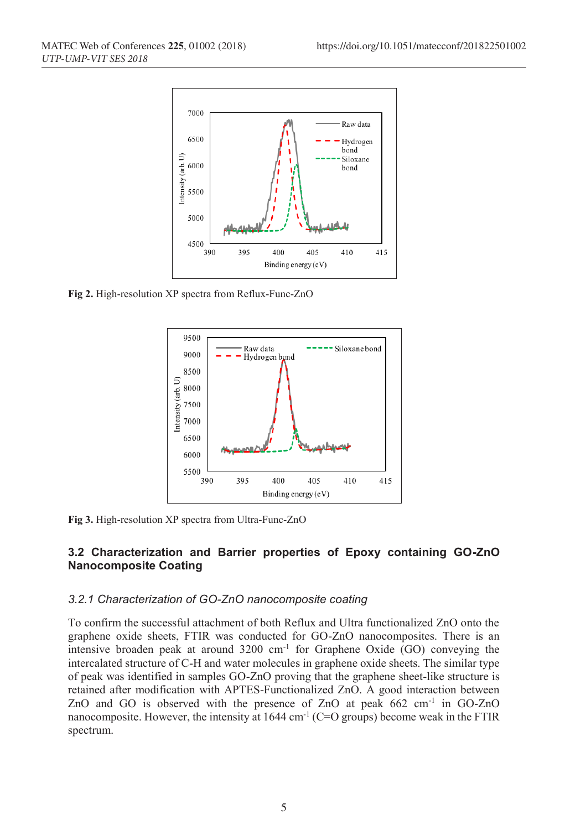

**Fig 2.** High-resolution XP spectra from Reflux-Func-ZnO



**Fig 3.** High-resolution XP spectra from Ultra-Func-ZnO

### **3.2 Characterization and Barrier properties of Epoxy containing GO-ZnO Nanocomposite Coating**

#### *3.2.1 Characterization of GO-ZnO nanocomposite coating*

To confirm the successful attachment of both Reflux and Ultra functionalized ZnO onto the graphene oxide sheets, FTIR was conducted for GO-ZnO nanocomposites. There is an intensive broaden peak at around  $3200 \text{ cm}^{-1}$  for Graphene Oxide (GO) conveying the intercalated structure of C-H and water molecules in graphene oxide sheets. The similar type of peak was identified in samples GO-ZnO proving that the graphene sheet-like structure is retained after modification with APTES-Functionalized ZnO. A good interaction between ZnO and GO is observed with the presence of ZnO at peak 662 cm<sup>-1</sup> in GO-ZnO nanocomposite. However, the intensity at 1644 cm<sup>-1</sup> (C=O groups) become weak in the FTIR spectrum.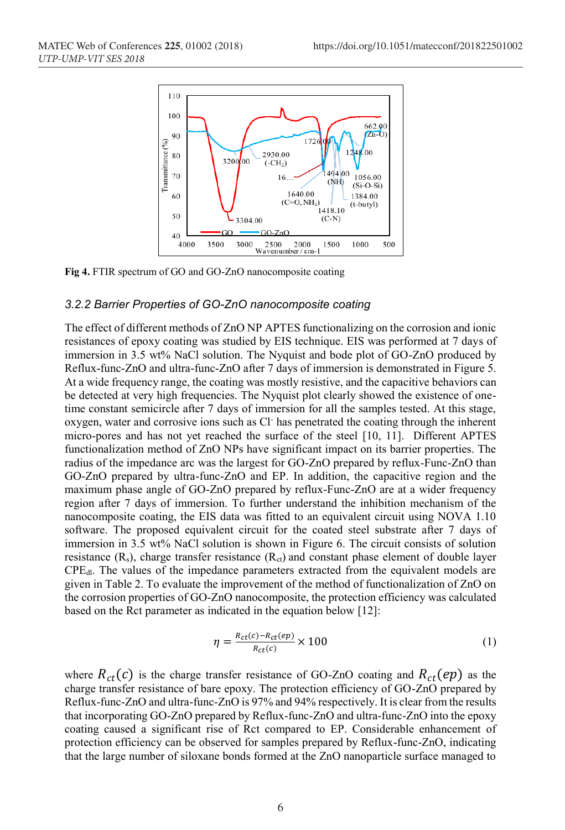

**Fig 4.** FTIR spectrum of GO and GO-ZnO nanocomposite coating

#### *3.2.2 Barrier Properties of GO-ZnO nanocomposite coating*

The effect of different methods of ZnO NP APTES functionalizing on the corrosion and ionic resistances of epoxy coating was studied by EIS technique. EIS was performed at 7 days of immersion in 3.5 wt% NaCl solution. The Nyquist and bode plot of GO-ZnO produced by Reflux-func-ZnO and ultra-func-ZnO after 7 days of immersion is demonstrated in Figure 5. At a wide frequency range, the coating was mostly resistive, and the capacitive behaviors can be detected at very high frequencies. The Nyquist plot clearly showed the existence of onetime constant semicircle after 7 days of immersion for all the samples tested. At this stage, oxygen, water and corrosive ions such as Cl- has penetrated the coating through the inherent micro-pores and has not yet reached the surface of the steel [10, 11]. Different APTES functionalization method of ZnO NPs have significant impact on its barrier properties. The radius of the impedance arc was the largest for GO-ZnO prepared by reflux-Func-ZnO than GO-ZnO prepared by ultra-func-ZnO and EP. In addition, the capacitive region and the maximum phase angle of GO-ZnO prepared by reflux-Func-ZnO are at a wider frequency region after 7 days of immersion. To further understand the inhibition mechanism of the nanocomposite coating, the EIS data was fitted to an equivalent circuit using NOVA 1.10 software. The proposed equivalent circuit for the coated steel substrate after 7 days of immersion in 3.5 wt% NaCl solution is shown in Figure 6. The circuit consists of solution resistance  $(R_s)$ , charge transfer resistance  $(R_{ct})$  and constant phase element of double layer CPEdl. The values of the impedance parameters extracted from the equivalent models are given in Table 2. To evaluate the improvement of the method of functionalization of ZnO on the corrosion properties of GO-ZnO nanocomposite, the protection efficiency was calculated based on the Rct parameter as indicated in the equation below [12]:

$$
\eta = \frac{R_{ct}(c) - R_{ct}(ep)}{R_{ct}(c)} \times 100\tag{1}
$$

where  $R_{ct}(c)$  is the charge transfer resistance of GO-ZnO coating and  $R_{ct}(ep)$  as the charge transfer resistance of bare epoxy. The protection efficiency of GO-ZnO prepared by Reflux-func-ZnO and ultra-func-ZnO is 97% and 94% respectively. It is clear from the results that incorporating GO-ZnO prepared by Reflux-func-ZnO and ultra-func-ZnO into the epoxy coating caused a significant rise of Rct compared to EP. Considerable enhancement of protection efficiency can be observed for samples prepared by Reflux-func-ZnO, indicating that the large number of siloxane bonds formed at the ZnO nanoparticle surface managed to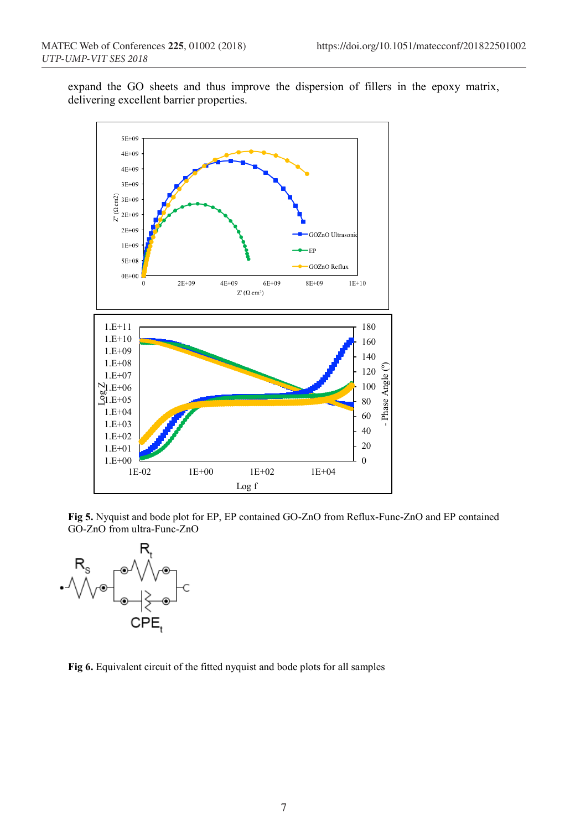expand the GO sheets and thus improve the dispersion of fillers in the epoxy matrix, delivering excellent barrier properties.



**Fig 5.** Nyquist and bode plot for EP, EP contained GO-ZnO from Reflux-Func-ZnO and EP contained GO-ZnO from ultra-Func-ZnO



**Fig 6.** Equivalent circuit of the fitted nyquist and bode plots for all samples